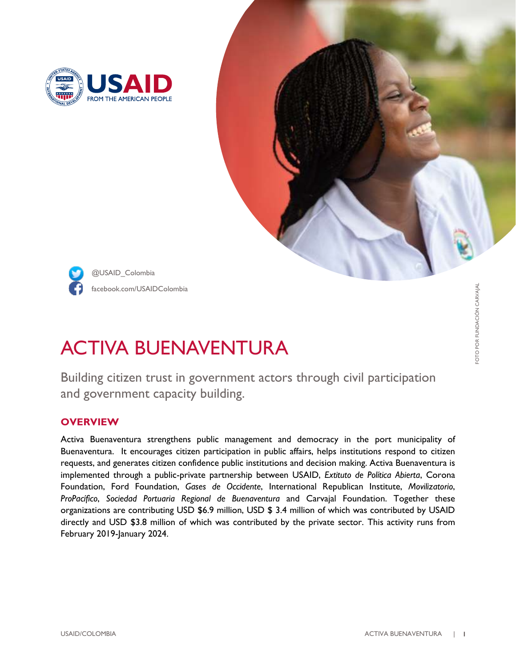





facebook.com/USAIDColombia @USAID\_Colombia

# ACTIVA BUENAVENTURA

Building citizen trust in government actors through civil participation and government capacity building.

## **OVERVIEW**

Activa Buenaventura strengthens public management and democracy in the port municipality of Buenaventura. It encourages citizen participation in public affairs, helps institutions respond to citizen requests, and generates citizen confidence public institutions and decision making. Activa Buenaventura is implemented through a public-private partnership between USAID, *Extituto de Política Abierta*, Corona Foundation, Ford Foundation, *Gases de Occidente*, International Republican Institute, *Movilizatorio*, *ProPacífico*, *Sociedad Portuaria Regional de Buenaventura* and Carvajal Foundation. Together these organizations are contributing USD \$6.9 million, USD \$ 3.4 million of which was contributed by USAID directly and USD \$3.8 million of which was contributed by the private sector. This activity runs from February 2019-January 2024.